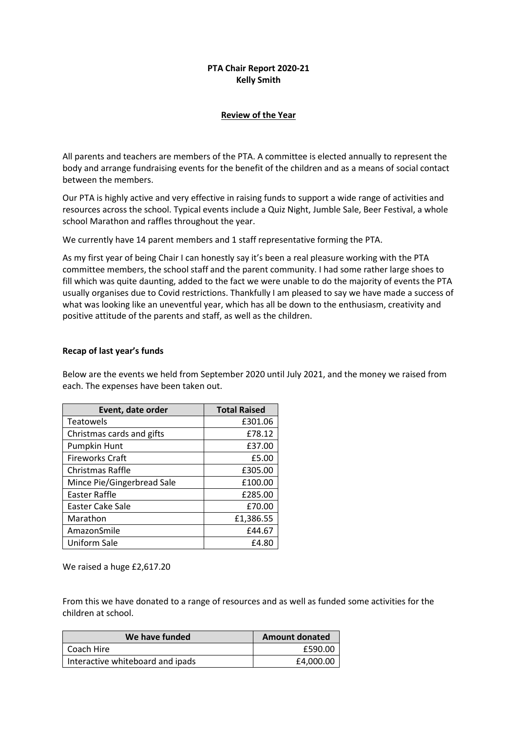## **PTA Chair Report 2020-21 Kelly Smith**

## **Review of the Year**

All parents and teachers are members of the PTA. A committee is elected annually to represent the body and arrange fundraising events for the benefit of the children and as a means of social contact between the members.

Our PTA is highly active and very effective in raising funds to support a wide range of activities and resources across the school. Typical events include a Quiz Night, Jumble Sale, Beer Festival, a whole school Marathon and raffles throughout the year.

We currently have 14 parent members and 1 staff representative forming the PTA.

As my first year of being Chair I can honestly say it's been a real pleasure working with the PTA committee members, the school staff and the parent community. I had some rather large shoes to fill which was quite daunting, added to the fact we were unable to do the majority of events the PTA usually organises due to Covid restrictions. Thankfully I am pleased to say we have made a success of what was looking like an uneventful year, which has all be down to the enthusiasm, creativity and positive attitude of the parents and staff, as well as the children.

## **Recap of last year's funds**

Below are the events we held from September 2020 until July 2021, and the money we raised from each. The expenses have been taken out.

| Event, date order          | <b>Total Raised</b> |
|----------------------------|---------------------|
| <b>Teatowels</b>           | £301.06             |
| Christmas cards and gifts  | £78.12              |
| Pumpkin Hunt               | £37.00              |
| <b>Fireworks Craft</b>     | £5.00               |
| Christmas Raffle           | £305.00             |
| Mince Pie/Gingerbread Sale | £100.00             |
| Easter Raffle              | £285.00             |
| Easter Cake Sale           | £70.00              |
| Marathon                   | £1,386.55           |
| AmazonSmile                | £44.67              |
| Uniform Sale               | £4.80               |

We raised a huge £2,617.20

From this we have donated to a range of resources and as well as funded some activities for the children at school.

| We have funded                   | <b>Amount donated</b> |
|----------------------------------|-----------------------|
| Coach Hire                       | £590.00               |
| Interactive whiteboard and ipads | £4,000.00             |